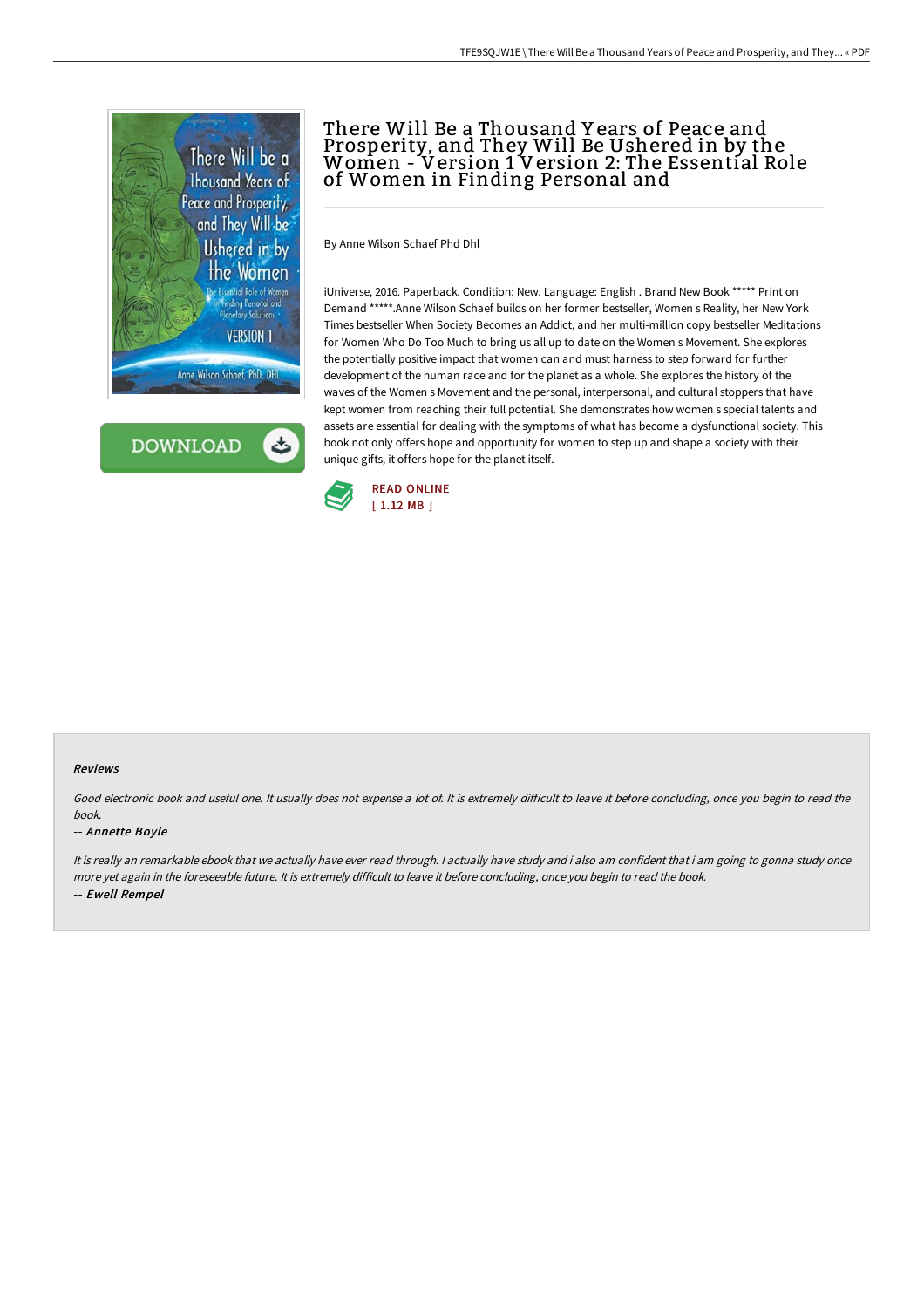

**DOWNLOAD** 

# There Will Be a Thousand Y ears of Peace and Prosperity, and They Will Be Ushered in by the Women - Version 1 Version 2: The Essential Role of Women in Finding Personal and

By Anne Wilson Schaef Phd Dhl

iUniverse, 2016. Paperback. Condition: New. Language: English . Brand New Book \*\*\*\*\* Print on Demand \*\*\*\*\*.Anne Wilson Schaef builds on her former bestseller, Women s Reality, her New York Times bestseller When Society Becomes an Addict, and her multi-million copy bestseller Meditations for Women Who Do Too Much to bring us all up to date on the Women s Movement. She explores the potentially positive impact that women can and must harness to step forward for further development of the human race and for the planet as a whole. She explores the history of the waves of the Women s Movement and the personal, interpersonal, and cultural stoppers that have kept women from reaching their full potential. She demonstrates how women s special talents and assets are essential for dealing with the symptoms of what has become a dysfunctional society. This book not only offers hope and opportunity for women to step up and shape a society with their unique gifts, it offers hope for the planet itself.



#### Reviews

Good electronic book and useful one. It usually does not expense a lot of. It is extremely difficult to leave it before concluding, once you begin to read the book.

#### -- Annette Boyle

It is really an remarkable ebook that we actually have ever read through. <sup>I</sup> actually have study and i also am confident that i am going to gonna study once more yet again in the foreseeable future. It is extremely difficult to leave it before concluding, once you begin to read the book. -- Ewell Rempel